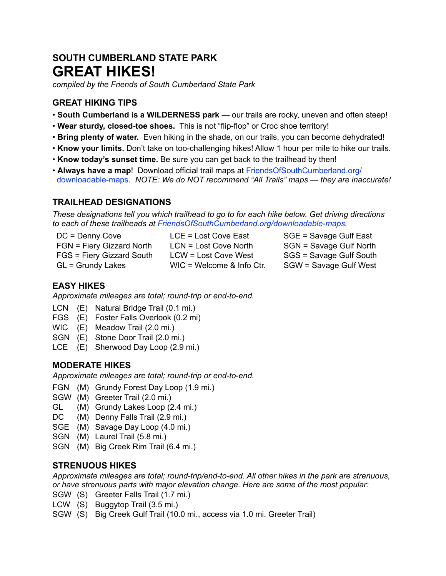# **SOUTH CUMBERLAND STATE PARK GREAT HIKES!**

*compiled by the Friends of South Cumberland State Park*

# **GREAT HIKING TIPS**

- **South Cumberland is a WILDERNESS park** our trails are rocky, uneven and often steep!
- **Wear sturdy, closed-toe shoes.** This is not "flip-flop" or Croc shoe territory!
- **Bring plenty of water.** Even hiking in the shade, on our trails, you can become dehydrated!
- **Know your limits.** Don't take on too-challenging hikes! Allow 1 hour per mile to hike our trails.
- **Know today's sunset time.** Be sure you can get back to the trailhead by then!
- **Always have a map**! Download official trail maps at [FriendsOfSouthCumberland.org/](http://FriendsOfSouthCumberland.org/downloadable-maps) [downloadable-maps](http://FriendsOfSouthCumberland.org/downloadable-maps). *NOTE: We do NOT recommend "All Trails" maps — they are inaccurate!*

# **TRAILHEAD DESIGNATIONS**

*These designations tell you which trailhead to go to for each hike below. Get driving directions to each of these trailheads at [FriendsOfSouthCumberland.org/downloadable-maps.](http://FriendsOfSouthCumberland.org/downloadable-maps)* 

| $DC = Denny Cove$         | $LCE = Lost Cove East$      | SGE = Savage Gulf East  |
|---------------------------|-----------------------------|-------------------------|
| FGN = Fiery Gizzard North | LCN = Lost Cove North       | SGN = Savage Gulf North |
| FGS = Fiery Gizzard South | LCW = Lost Cove West        | SGS = Savage Gulf South |
| GL = Grundy Lakes         | $WIC = Welcome & Info Ctr.$ | SGW = Savage Gulf West  |

# **EASY HIKES**

*Approximate mileages are total; round-trip or end-to-end.*

- LCN (E) Natural Bridge Trail (0.1 mi.)
- FGS (E) Foster Falls Overlook (0.2 mi)
- WIC (E) Meadow Trail (2.0 mi.)
- SGN (E) Stone Door Trail (2.0 mi.)
- LCE (E) Sherwood Day Loop (2.9 mi.)

# **MODERATE HIKES**

*Approximate mileages are total; round-trip or end-to-end.*

- FGN (M) Grundy Forest Day Loop (1.9 mi.)
- SGW (M) Greeter Trail (2.0 mi.)
- GL (M) Grundy Lakes Loop (2.4 mi.)
- DC (M) Denny Falls Trail (2.9 mi.)
- SGE (M) Savage Day Loop (4.0 mi.)
- SGN (M) Laurel Trail (5.8 mi.)
- SGN (M) Big Creek Rim Trail (6.4 mi.)

# **STRENUOUS HIKES**

*Approximate mileages are total; round-trip/end-to-end. All other hikes in the park are strenuous, or have strenuous parts with major elevation change. Here are some of the most popular:*

- SGW (S) Greeter Falls Trail (1.7 mi.)
- LCW (S) Buggytop Trail (3.5 mi.)
- SGW (S) Big Creek Gulf Trail (10.0 mi., access via 1.0 mi. Greeter Trail)